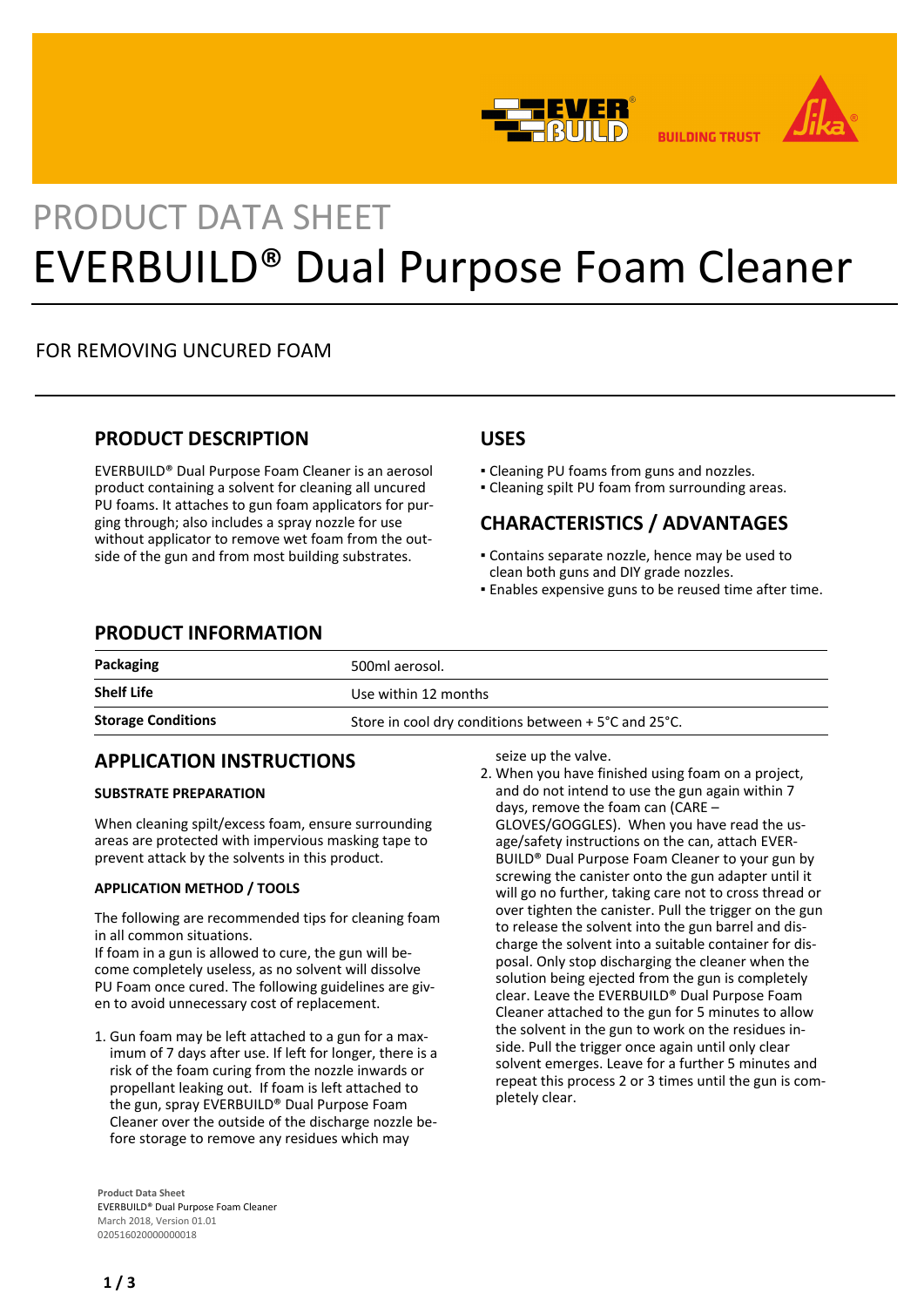



**BUILDING TRUST** 

# PRODUCT DATA SHEET EVERBUILD® Dual Purpose Foam Cleaner

## FOR REMOVING UNCURED FOAM

#### **PRODUCT DESCRIPTION**

EVERBUILD® Dual Purpose Foam Cleaner is an aerosol product containing a solvent for cleaning all uncured PU foams. It attaches to gun foam applicators for purging through; also includes a spray nozzle for use without applicator to remove wet foam from the outside of the gun and from most building substrates.

#### **USES**

- Cleaning PU foams from guns and nozzles.
- Cleaning spilt PU foam from surrounding areas.

# **CHARACTERISTICS / ADVANTAGES**

- Contains separate nozzle, hence may be used to clean both guns and DIY grade nozzles.
- **Enables expensive guns to be reused time after time.**

#### **PRODUCT INFORMATION**

| Packaging                 | 500ml aerosol.                                       |
|---------------------------|------------------------------------------------------|
| <b>Shelf Life</b>         | Use within 12 months                                 |
| <b>Storage Conditions</b> | Store in cool dry conditions between + 5°C and 25°C. |

## **APPLICATION INSTRUCTIONS**

#### **SUBSTRATE PREPARATION**

When cleaning spilt/excess foam, ensure surrounding areas are protected with impervious masking tape to prevent attack by the solvents in this product.

#### **APPLICATION METHOD / TOOLS**

The following are recommended tips for cleaning foam in all common situations.

If foam in a gun is allowed to cure, the gun will become completely useless, as no solvent will dissolve PU Foam once cured. The following guidelines are given to avoid unnecessary cost of replacement.

1. Gun foam may be left attached to a gun for a maximum of 7 days after use. If left for longer, there is a risk of the foam curing from the nozzle inwards or propellant leaking out. If foam is left attached to the gun, spray EVERBUILD® Dual Purpose Foam Cleaner over the outside of the discharge nozzle before storage to remove any residues which may

**Product Data Sheet** EVERBUILD® Dual Purpose Foam Cleaner March 2018, Version 01.01 020516020000000018

seize up the valve.

When you have finished using foam on a project, 2. and do not intend to use the gun again within 7 days, remove the foam can (CARE – GLOVES/GOGGLES). When you have read the usage/safety instructions on the can, attach EVER-BUILD® Dual Purpose Foam Cleaner to your gun by screwing the canister onto the gun adapter until it will go no further, taking care not to cross thread or over tighten the canister. Pull the trigger on the gun to release the solvent into the gun barrel and discharge the solvent into a suitable container for disposal. Only stop discharging the cleaner when the solution being ejected from the gun is completely clear. Leave the EVERBUILD® Dual Purpose Foam Cleaner attached to the gun for 5 minutes to allow the solvent in the gun to work on the residues inside. Pull the trigger once again until only clear solvent emerges. Leave for a further 5 minutes and repeat this process 2 or 3 times until the gun is completely clear.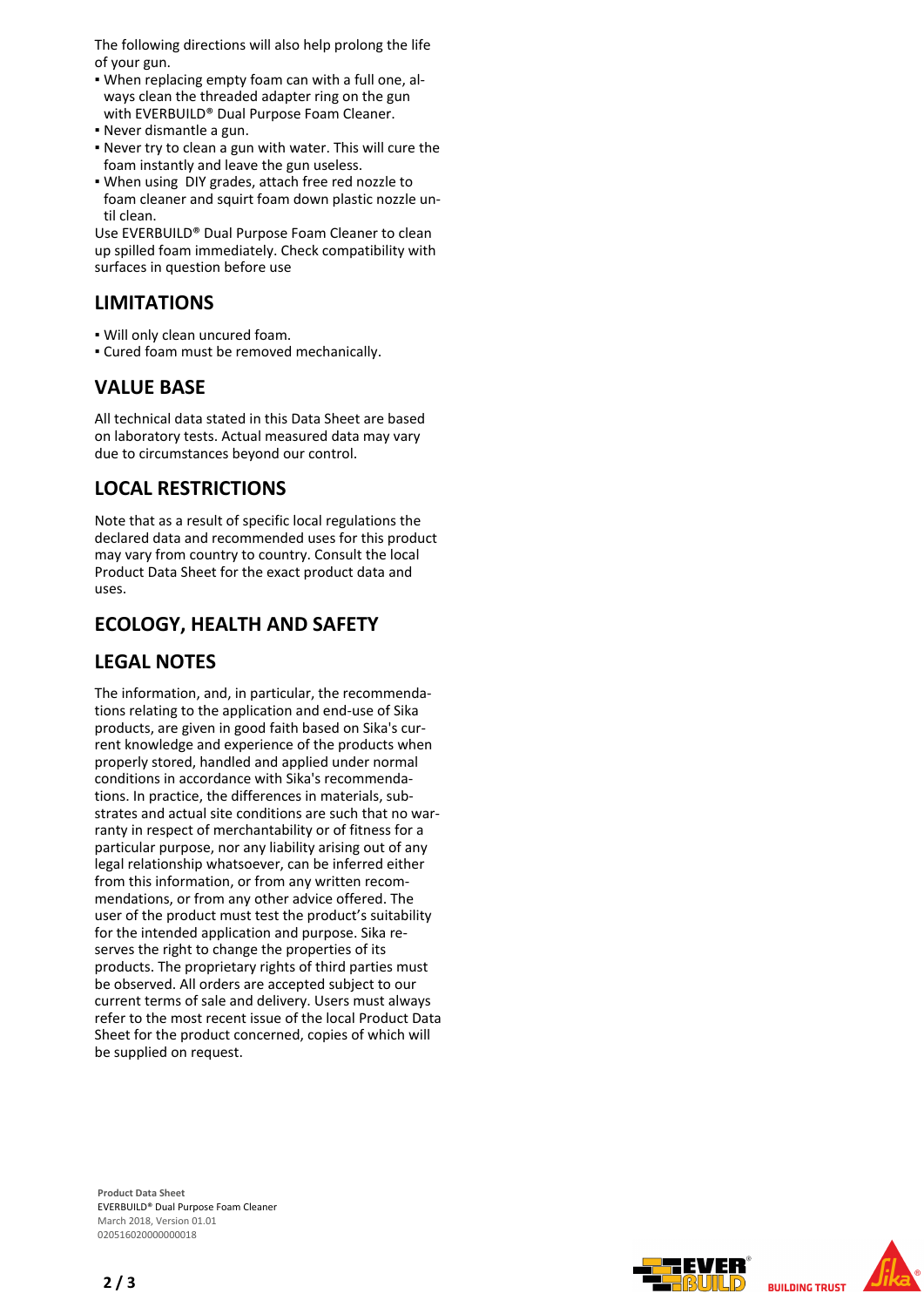The following directions will also help prolong the life of your gun.

- When replacing empty foam can with a full one, al-▪ ways clean the threaded adapter ring on the gun with EVERBUILD® Dual Purpose Foam Cleaner.
- Never dismantle a gun.
- Never try to clean a gun with water. This will cure the foam instantly and leave the gun useless.
- When using DIY grades, attach free red nozzle to foam cleaner and squirt foam down plastic nozzle until clean.

Use EVERBUILD® Dual Purpose Foam Cleaner to clean up spilled foam immediately. Check compatibility with surfaces in question before use

#### **LIMITATIONS**

- Will only clean uncured foam.
- Cured foam must be removed mechanically.

## **VALUE BASE**

All technical data stated in this Data Sheet are based on laboratory tests. Actual measured data may vary due to circumstances beyond our control.

## **LOCAL RESTRICTIONS**

Note that as a result of specific local regulations the declared data and recommended uses for this product may vary from country to country. Consult the local Product Data Sheet for the exact product data and uses.

# **ECOLOGY, HEALTH AND SAFETY**

#### **LEGAL NOTES**

The information, and, in particular, the recommendations relating to the application and end-use of Sika products, are given in good faith based on Sika's current knowledge and experience of the products when properly stored, handled and applied under normal conditions in accordance with Sika's recommendations. In practice, the differences in materials, substrates and actual site conditions are such that no warranty in respect of merchantability or of fitness for a particular purpose, nor any liability arising out of any legal relationship whatsoever, can be inferred either from this information, or from any written recommendations, or from any other advice offered. The user of the product must test the product's suitability for the intended application and purpose. Sika reserves the right to change the properties of its products. The proprietary rights of third parties must be observed. All orders are accepted subject to our current terms of sale and delivery. Users must always refer to the most recent issue of the local Product Data Sheet for the product concerned, copies of which will be supplied on request.

**Product Data Sheet** EVERBUILD® Dual Purpose Foam Cleaner March 2018, Version 01.01 020516020000000018